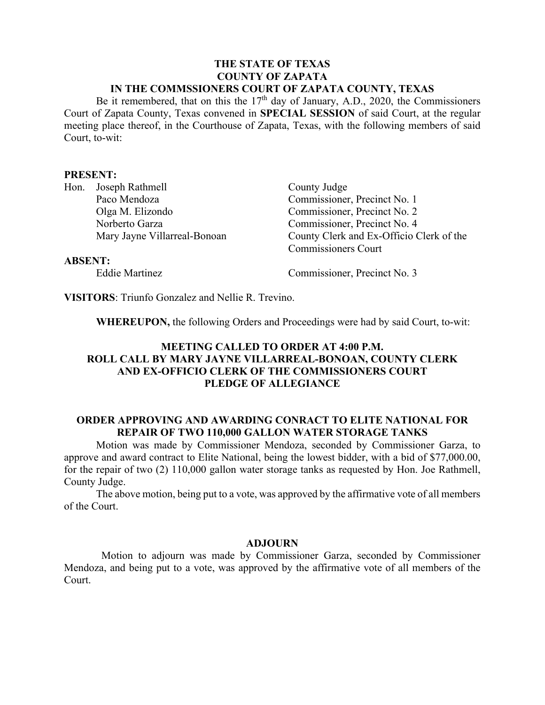### **THE STATE OF TEXAS COUNTY OF ZAPATA IN THE COMMSSIONERS COURT OF ZAPATA COUNTY, TEXAS**

Be it remembered, that on this the  $17<sup>th</sup>$  day of January, A.D., 2020, the Commissioners Court of Zapata County, Texas convened in **SPECIAL SESSION** of said Court, at the regular meeting place thereof, in the Courthouse of Zapata, Texas, with the following members of said Court, to-wit:

### **PRESENT:**

| Hon. | Joseph Rathmell              |
|------|------------------------------|
|      | Paco Mendoza                 |
|      | Olga M. Elizondo             |
|      | Norberto Garza               |
|      | Mary Jayne Villarreal-Bonoan |

County Judge Commissioner, Precinct No. 1 Commissioner, Precinct No. 2 Commissioner, Precinct No. 4 County Clerk and Ex-Officio Clerk of the Commissioners Court

### **ABSENT:**

Eddie Martinez Commissioner, Precinct No. 3

**VISITORS**: Triunfo Gonzalez and Nellie R. Trevino.

**WHEREUPON,** the following Orders and Proceedings were had by said Court, to-wit:

# **MEETING CALLED TO ORDER AT 4:00 P.M. ROLL CALL BY MARY JAYNE VILLARREAL-BONOAN, COUNTY CLERK AND EX-OFFICIO CLERK OF THE COMMISSIONERS COURT PLEDGE OF ALLEGIANCE**

## **ORDER APPROVING AND AWARDING CONRACT TO ELITE NATIONAL FOR REPAIR OF TWO 110,000 GALLON WATER STORAGE TANKS**

Motion was made by Commissioner Mendoza, seconded by Commissioner Garza, to approve and award contract to Elite National, being the lowest bidder, with a bid of \$77,000.00, for the repair of two (2) 110,000 gallon water storage tanks as requested by Hon. Joe Rathmell, County Judge.

The above motion, being put to a vote, was approved by the affirmative vote of all members of the Court.

### **ADJOURN**

 Motion to adjourn was made by Commissioner Garza, seconded by Commissioner Mendoza, and being put to a vote, was approved by the affirmative vote of all members of the Court.